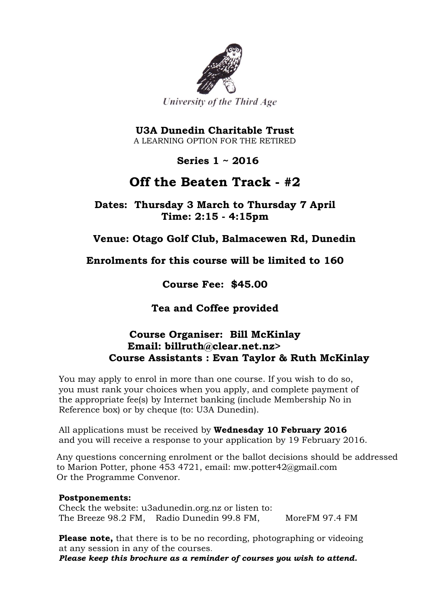

**U3A Dunedin Charitable Trust** A LEARNING OPTION FOR THE RETIRED

 **Series 1 ~ 2016**

# **Off the Beaten Track - #2**

**Dates: Thursday 3 March to Thursday 7 April Time: 2:15 - 4:15pm**

### **Venue: Otago Golf Club, Balmacewen Rd, Dunedin**

**Enrolments for this course will be limited to 160**

**Course Fee: \$45.00**

**Tea and Coffee provided**

### **Course Organiser: Bill McKinlay Email: billruth@clear.net.nz> Course Assistants : Evan Taylor & Ruth McKinlay**

You may apply to enrol in more than one course. If you wish to do so, you must rank your choices when you apply, and complete payment of the appropriate fee(s) by Internet banking (include Membership No in Reference box) or by cheque (to: U3A Dunedin).

All applications must be received by **Wednesday 10 February 2016** and you will receive a response to your application by 19 February 2016.

Any questions concerning enrolment or the ballot decisions should be addressed to Marion Potter, phone 453 4721, email: mw.potter42@gmail.com Or the Programme Convenor.

#### **Postponements:**

Check the website: u3adunedin.org.nz or listen to: The Breeze 98.2 FM, Radio Dunedin 99.8 FM, MoreFM 97.4 FM

**Please note,** that there is to be no recording, photographing or videoing at any session in any of the courses. *Please keep this brochure as a reminder of courses you wish to attend.*